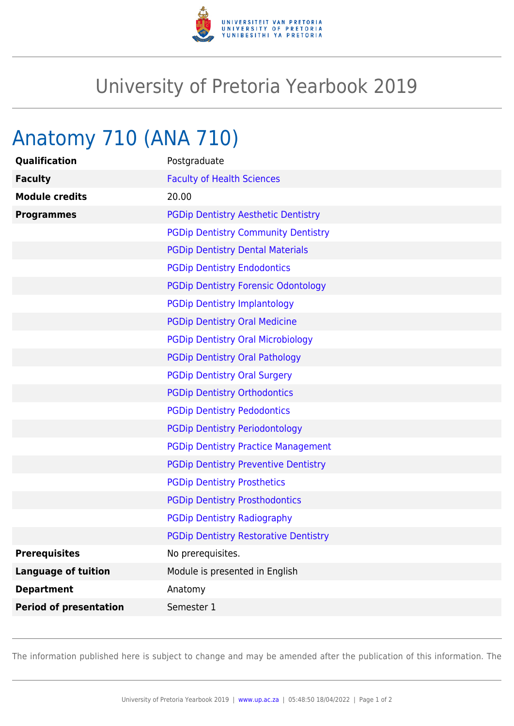

## University of Pretoria Yearbook 2019

## Anatomy 710 (ANA 710)

| Qualification                 | Postgraduate                                 |
|-------------------------------|----------------------------------------------|
| <b>Faculty</b>                | <b>Faculty of Health Sciences</b>            |
| <b>Module credits</b>         | 20.00                                        |
| <b>Programmes</b>             | <b>PGDip Dentistry Aesthetic Dentistry</b>   |
|                               | <b>PGDip Dentistry Community Dentistry</b>   |
|                               | <b>PGDip Dentistry Dental Materials</b>      |
|                               | <b>PGDip Dentistry Endodontics</b>           |
|                               | <b>PGDip Dentistry Forensic Odontology</b>   |
|                               | <b>PGDip Dentistry Implantology</b>          |
|                               | <b>PGDip Dentistry Oral Medicine</b>         |
|                               | <b>PGDip Dentistry Oral Microbiology</b>     |
|                               | <b>PGDip Dentistry Oral Pathology</b>        |
|                               | <b>PGDip Dentistry Oral Surgery</b>          |
|                               | <b>PGDip Dentistry Orthodontics</b>          |
|                               | <b>PGDip Dentistry Pedodontics</b>           |
|                               | <b>PGDip Dentistry Periodontology</b>        |
|                               | <b>PGDip Dentistry Practice Management</b>   |
|                               | <b>PGDip Dentistry Preventive Dentistry</b>  |
|                               | <b>PGDip Dentistry Prosthetics</b>           |
|                               | <b>PGDip Dentistry Prosthodontics</b>        |
|                               | <b>PGDip Dentistry Radiography</b>           |
|                               | <b>PGDip Dentistry Restorative Dentistry</b> |
| <b>Prerequisites</b>          | No prerequisites.                            |
| <b>Language of tuition</b>    | Module is presented in English               |
| <b>Department</b>             | Anatomy                                      |
| <b>Period of presentation</b> | Semester 1                                   |

The information published here is subject to change and may be amended after the publication of this information. The